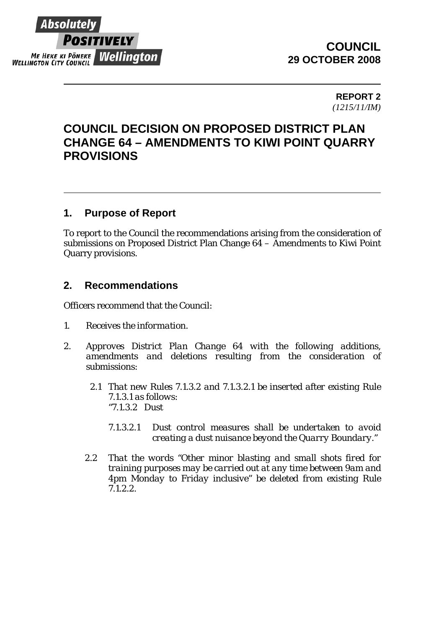

## **COUNCIL 29 OCTOBER 2008**

**REPORT 2**  *(1215/11/IM)* 

# **COUNCIL DECISION ON PROPOSED DISTRICT PLAN CHANGE 64 – AMENDMENTS TO KIWI POINT QUARRY PROVISIONS**

### **1. Purpose of Report**

To report to the Council the recommendations arising from the consideration of submissions on Proposed District Plan Change 64 – Amendments to Kiwi Point Quarry provisions.

### **2. Recommendations**

Officers recommend that the Council:

- *1. Receives the information.*
- *2. Approves District Plan Change 64 with the following additions, amendments and deletions resulting from the consideration of submissions:* 
	- *2.1 That new Rules 7.1.3.2 and 7.1.3.2.1 be inserted after existing Rule 7.1.3.1 as follows: "7.1.3.2 Dust* 
		- *7.1.3.2.1 Dust control measures shall be undertaken to avoid creating a dust nuisance beyond the Quarry Boundary."*
	- *2.2 That the words "Other minor blasting and small shots fired for training purposes may be carried out at any time between 9am and 4pm Monday to Friday inclusive" be deleted from existing Rule 7.1.2.2.*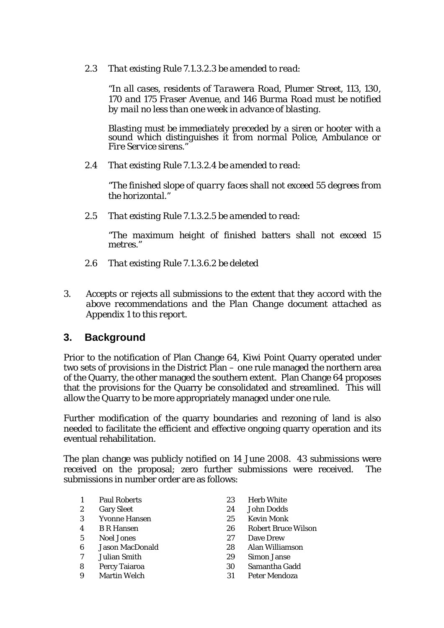*2.3 That existing Rule 7.1.3.2.3 be amended to read:* 

"*In all cases, residents of Tarawera Road, Plumer Street, 113, 130, 170 and 175 Fraser Avenue, and 146 Burma Road must be notified by mail no less than one week in advance of blasting.* 

*Blasting must be immediately preceded by a siren or hooter with a sound which distinguishes it from normal Police, Ambulance or Fire Service sirens."* 

*2.4 That existing Rule 7.1.3.2.4 be amended to read:* 

*"The finished slope of quarry faces shall not exceed 55 degrees from the horizontal."* 

*2.5 That existing Rule 7.1.3.2.5 be amended to read:* 

*"The maximum height of finished batters shall not exceed 15 metres."* 

- *2.6 That existing Rule 7.1.3.6.2 be deleted*
- *3. Accepts or rejects all submissions to the extent that they accord with the above recommendations and the Plan Change document attached as Appendix 1 to this report.*

### **3. Background**

Prior to the notification of Plan Change 64, Kiwi Point Quarry operated under two sets of provisions in the District Plan – one rule managed the northern area of the Quarry, the other managed the southern extent. Plan Change 64 proposes that the provisions for the Quarry be consolidated and streamlined. This will allow the Quarry to be more appropriately managed under one rule.

Further modification of the quarry boundaries and rezoning of land is also needed to facilitate the efficient and effective ongoing quarry operation and its eventual rehabilitation.

The plan change was publicly notified on 14 June 2008. 43 submissions were received on the proposal; zero further submissions were received. The submissions in number order are as follows:

- 1 Paul Roberts 23 Herb White
- 
- 3 Yvonne Hansen 25 Kevin Monk
- 
- 
- 6 Jason MacDonald 28 Alan Williamson
- 
- 
- 
- 
- 2 Gary Sleet 24 John Dodds
	-
- 4 B R Hansen 26 Robert Bruce Wilson
- 5 Noel Jones 27 Dave Drew
	-
- 7 Julian Smith 29 Simon Janse
- 8 Percy Taiaroa 30 Samantha Gadd
- 9 Martin Welch 31 Peter Mendoza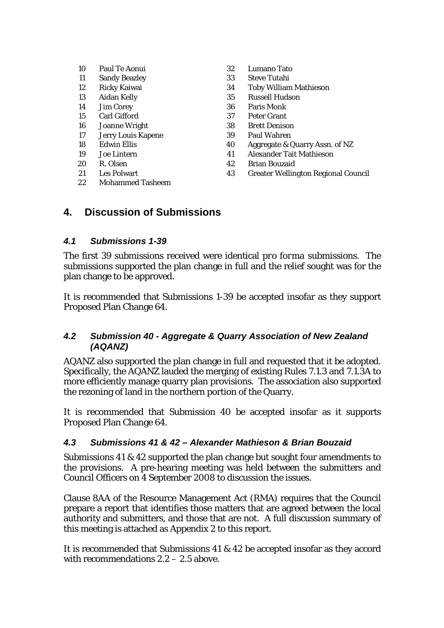| 10 | Paul Te Aonui        |  |
|----|----------------------|--|
| 11 | <b>Sandy Beazley</b> |  |
| 12 | Ricky Kaiwai         |  |
| 13 | <b>Aidan Kelly</b>   |  |
| 14 | <b>Jim Corey</b>     |  |
| 15 | Carl Gifford         |  |
| 16 | <b>Joanne Wright</b> |  |
| 17 | Jerry Louis Kapene   |  |
| 18 | Edwin Ellis          |  |
| 19 | Joe Lintern          |  |
| 20 | R. Olsen             |  |
| 21 | <b>Les Polwart</b>   |  |

22 Mohammed Tasheem

- 32 Lumano Tato
- 33 Steve Tutahi
- 34 Toby William Mathieson
- 35 Russell Hudson
- 36 Paris Monk
- 37 Peter Grant
- 38 Brett Denison
- 39 Paul Wahren
- 40 Aggregate & Quarry Assn. of NZ
- 41 Alexander Tait Mathieson
- 42 Brian Bouzaid
- 43 Greater Wellington Regional Council

### **4. Discussion of Submissions**

#### *4.1 Submissions 1-39*

The first 39 submissions received were identical *pro forma* submissions. The submissions supported the plan change in full and the relief sought was for the plan change to be approved.

It is recommended that Submissions 1-39 be accepted insofar as they support Proposed Plan Change 64.

#### *4.2 Submission 40 - Aggregate & Quarry Association of New Zealand (AQANZ)*

AQANZ also supported the plan change in full and requested that it be adopted. Specifically, the AQANZ lauded the merging of existing Rules 7.1.3 and 7.1.3A to more efficiently manage quarry plan provisions. The association also supported the rezoning of land in the northern portion of the Quarry.

It is recommended that Submission 40 be accepted insofar as it supports Proposed Plan Change 64.

#### *4.3 Submissions 41 & 42 – Alexander Mathieson & Brian Bouzaid*

Submissions 41 & 42 supported the plan change but sought four amendments to the provisions. A pre-hearing meeting was held between the submitters and Council Officers on 4 September 2008 to discussion the issues.

Clause 8AA of the Resource Management Act (RMA) requires that the Council prepare a report that identifies those matters that are agreed between the local authority and submitters, and those that are not. A full discussion summary of this meeting is attached as Appendix 2 to this report.

It is recommended that Submissions 41 & 42 be accepted insofar as they accord with recommendations 2.2 – 2.5 above.